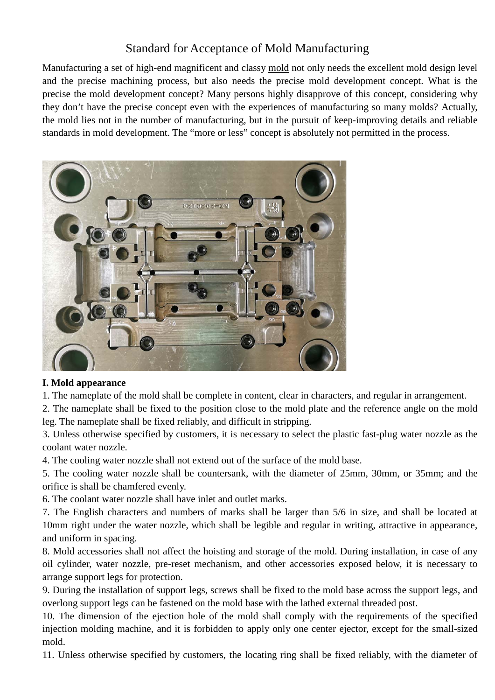# Standard for Acceptance of Mold Manufacturing

Manufacturing a set of high-end magnificent and classy mold not only needs the excellent mold design level and the precise machining process, but also needs the precise mold development concept. What is the precise the mold development concept? Many persons highly disapprove of this concept, considering why they don't have the precise concept even with the experiences of manufacturing so many molds? Actually, the mold lies not in the number of manufacturing, but in the pursuit of keep-improving details and reliable standards in mold development. The "more or less" concept is absolutely not permitted in the process.



### **I. Mold appearance**

1. The nameplate of the mold shall be complete in content, clear in characters, and regular in arrangement.

2. The nameplate shall be fixed to the position close to the mold plate and the reference angle on the mold leg. The nameplate shall be fixed reliably, and difficult in stripping.

3. Unless otherwise specified by customers, it is necessary to select the plastic fast-plug water nozzle as the coolant water nozzle.

4. The cooling water nozzle shall not extend out of the surface of the mold base.

5. The cooling water nozzle shall be countersank, with the diameter of 25mm, 30mm, or 35mm; and the orifice is shall be chamfered evenly.

6. The coolant water nozzle shall have inlet and outlet marks.

7. The English characters and numbers of marks shall be larger than 5/6 in size, and shall be located at 10mm right under the water nozzle, which shall be legible and regular in writing, attractive in appearance, and uniform in spacing.

8. Mold accessories shall not affect the hoisting and storage of the mold. During installation, in case of any oil cylinder, water nozzle, pre-reset mechanism, and other accessories exposed below, it is necessary to arrange support legs for protection.

9. During the installation of support legs, screws shall be fixed to the mold base across the support legs, and overlong support legs can be fastened on the mold base with the lathed external threaded post.

10. The dimension of the ejection hole of the mold shall comply with the requirements of the specified injection molding machine, and it is forbidden to apply only one center ejector, except for the small-sized mold.

11. Unless otherwise specified by customers, the locating ring shall be fixed reliably, with the diameter of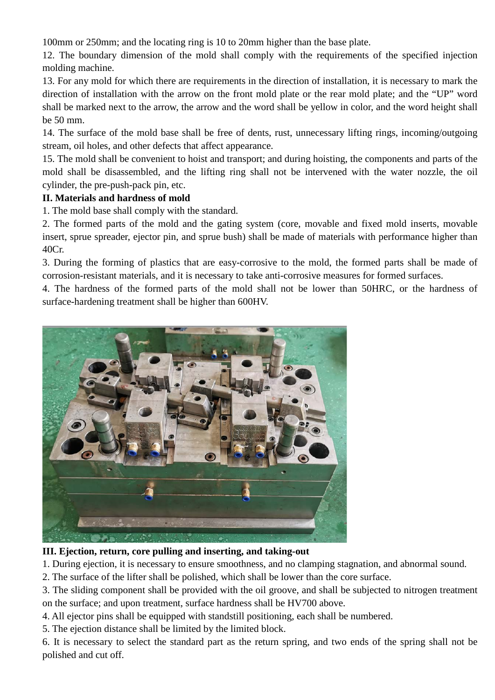100mm or 250mm; and the locating ring is 10 to 20mm higher than the base plate.

12. The boundary dimension of the mold shall comply with the requirements of the specified injection molding machine.

13. For any mold for which there are requirements in the direction of installation, it is necessary to mark the direction of installation with the arrow on the front mold plate or the rear mold plate; and the "UP" word shall be marked next to the arrow, the arrow and the word shall be yellow in color, and the word height shall be 50 mm.

14. The surface of the mold base shall be free of dents, rust, unnecessary lifting rings, incoming/outgoing stream, oil holes, and other defects that affect appearance.

15. The mold shall be convenient to hoist and transport; and during hoisting, the components and parts of the mold shall be disassembled, and the lifting ring shall not be intervened with the water nozzle, the oil cylinder, the pre-push-pack pin, etc.

### **II. Materials and hardness of mold**

1. The mold base shall comply with the standard.

2. The formed parts of the mold and the gating system (core, movable and fixed mold inserts, movable insert, sprue spreader, ejector pin, and sprue bush) shall be made of materials with performance higher than 40Cr.

3. During the forming of plastics that are easy-corrosive to the mold, the formed parts shall be made of corrosion-resistant materials, and it is necessary to take anti-corrosive measures for formed surfaces.

4. The hardness of the formed parts of the mold shall not be lower than 50HRC, or the hardness of surface-hardening treatment shall be higher than 600HV.



### **III. Ejection, return, core pulling and inserting, and taking-out**

- 1. During ejection, it is necessary to ensure smoothness, and no clamping stagnation, and abnormal sound.
- 2. The surface of the lifter shall be polished, which shall be lower than the core surface.

3. The sliding component shall be provided with the oil groove, and shall be subjected to nitrogen treatment on the surface; and upon treatment, surface hardness shall be HV700 above.

4. All ejector pins shall be equipped with standstill positioning, each shall be numbered.

5. The ejection distance shall be limited by the limited block.

6. It is necessary to select the standard part as the return spring, and two ends of the spring shall not be polished and cut off.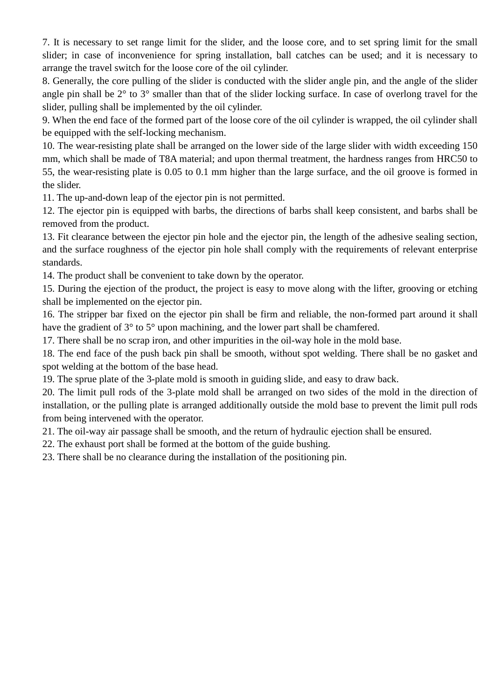7. It is necessary to set range limit for the slider, and the loose core, and to set spring limit for the small slider; in case of inconvenience for spring installation, ball catches can be used; and it is necessary to arrange the travel switch for the loose core of the oil cylinder.

8. Generally, the core pulling of the slider is conducted with the slider angle pin, and the angle of the slider angle pin shall be 2° to 3° smaller than that of the slider locking surface. In case of overlong travel for the slider, pulling shall be implemented by the oil cylinder.

9. When the end face of the formed part of the loose core of the oil cylinder is wrapped, the oil cylinder shall be equipped with the self-locking mechanism.

10. The wear-resisting plate shall be arranged on the lower side of the large slider with width exceeding 150 mm, which shall be made of T8A material; and upon thermal treatment, the hardness ranges from HRC50 to 55, the wear-resisting plate is 0.05 to 0.1 mm higher than the large surface, and the oil groove is formed in the slider.

11. The up-and-down leap of the ejector pin is not permitted.

12. The ejector pin is equipped with barbs, the directions of barbs shall keep consistent, and barbs shall be removed from the product.

13. Fit clearance between the ejector pin hole and the ejector pin, the length of the adhesive sealing section, and the surface roughness of the ejector pin hole shall comply with the requirements of relevant enterprise standards.

14. The product shall be convenient to take down by the operator.

15. During the ejection of the product, the project is easy to move along with the lifter, grooving or etching shall be implemented on the ejector pin.

16. The stripper bar fixed on the ejector pin shall be firm and reliable, the non-formed part around it shall have the gradient of 3° to 5° upon machining, and the lower part shall be chamfered.

17. There shall be no scrap iron, and other impurities in the oil-way hole in the mold base.

18. The end face of the push back pin shall be smooth, without spot welding. There shall be no gasket and spot welding at the bottom of the base head.

19. The sprue plate of the 3-plate mold is smooth in guiding slide, and easy to draw back.

20. The limit pull rods of the 3-plate mold shall be arranged on two sides of the mold in the direction of installation, or the pulling plate is arranged additionally outside the mold base to prevent the limit pull rods from being intervened with the operator.

21. The oil-way air passage shall be smooth, and the return of hydraulic ejection shall be ensured.

22. The exhaust port shall be formed at the bottom of the guide bushing.

23. There shall be no clearance during the installation of the positioning pin.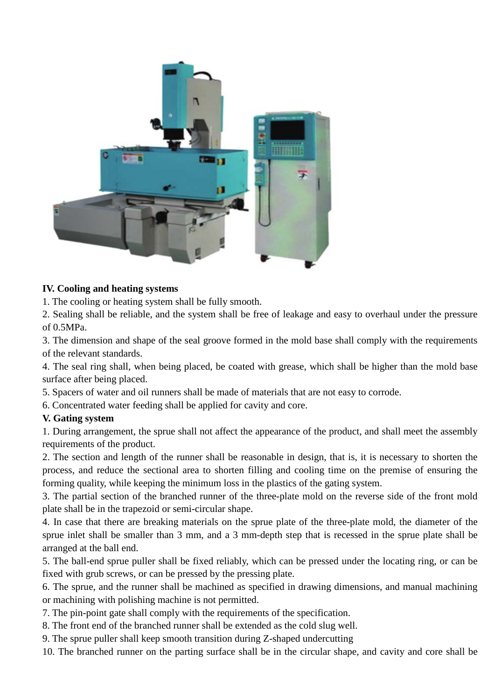

#### **IV. Cooling and heating systems**

1. The cooling or heating system shall be fully smooth.

2. Sealing shall be reliable, and the system shall be free of leakage and easy to overhaul under the pressure of 0.5MPa.

3. The dimension and shape of the seal groove formed in the mold base shall comply with the requirements of the relevant standards.

4. The seal ring shall, when being placed, be coated with grease, which shall be higher than the mold base surface after being placed.

5. Spacers of water and oil runners shall be made of materials that are not easy to corrode.

6. Concentrated water feeding shall be applied for cavity and core.

#### **V. Gating system**

1. During arrangement, the sprue shall not affect the appearance of the product, and shall meet the assembly requirements of the product.

2. The section and length of the runner shall be reasonable in design, that is, it is necessary to shorten the process, and reduce the sectional area to shorten filling and cooling time on the premise of ensuring the forming quality, while keeping the minimum loss in the plastics of the gating system.

3. The partial section of the branched runner of the three-plate mold on the reverse side of the front mold plate shall be in the trapezoid or semi-circular shape.

4. In case that there are breaking materials on the sprue plate of the three-plate mold, the diameter of the sprue inlet shall be smaller than 3 mm, and a 3 mm-depth step that is recessed in the sprue plate shall be arranged at the ball end.

5. The ball-end sprue puller shall be fixed reliably, which can be pressed under the locating ring, or can be fixed with grub screws, or can be pressed by the pressing plate.

6. The sprue, and the runner shall be machined as specified in drawing dimensions, and manual machining or machining with polishing machine is not permitted.

7. The pin-point gate shall comply with the requirements of the specification.

8. The front end of the branched runner shall be extended as the cold slug well.

9. The sprue puller shall keep smooth transition during Z-shaped undercutting

10. The branched runner on the parting surface shall be in the circular shape, and cavity and core shall be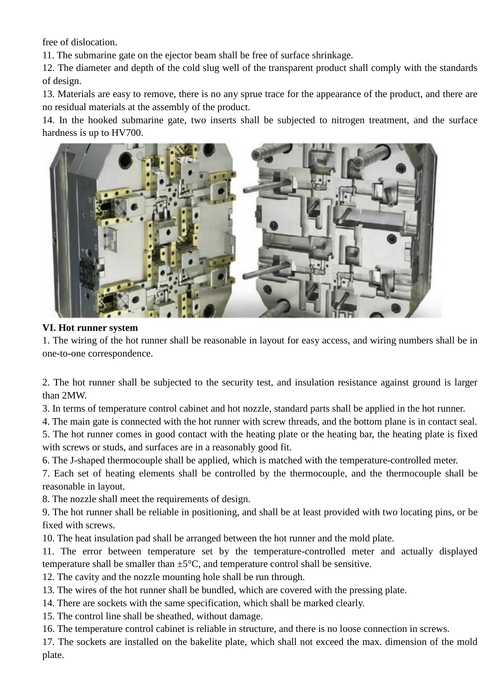free of dislocation.

11. The submarine gate on the ejector beam shall be free of surface shrinkage.

12. The diameter and depth of the cold slug well of the transparent product shall comply with the standards of design.

13. Materials are easy to remove, there is no any sprue trace for the appearance of the product, and there are no residual materials at the assembly of the product.

14. In the hooked submarine gate, two inserts shall be subjected to nitrogen treatment, and the surface hardness is up to HV700.



#### **VI. Hot runner system**

1. The wiring of the hot runner shall be reasonable in layout for easy access, and wiring numbers shall be in one-to-one correspondence.

2. The hot runner shall be subjected to the security test, and insulation resistance against ground is larger than 2MW.

3. In terms of temperature control cabinet and hot nozzle, standard parts shall be applied in the hot runner.

4. The main gate is connected with the hot runner with screw threads, and the bottom plane is in contact seal. 5. The hot runner comes in good contact with the heating plate or the heating bar, the heating plate is fixed with screws or studs, and surfaces are in a reasonably good fit.

6. The J-shaped thermocouple shall be applied, which is matched with the temperature-controlled meter.

7. Each set of heating elements shall be controlled by the thermocouple, and the thermocouple shall be reasonable in layout.

8. The nozzle shall meet the requirements of design.

9. The hot runner shall be reliable in positioning, and shall be at least provided with two locating pins, or be fixed with screws.

10. The heat insulation pad shall be arranged between the hot runner and the mold plate.

11. The error between temperature set by the temperature-controlled meter and actually displayed temperature shall be smaller than  $\pm 5^{\circ}$ C, and temperature control shall be sensitive.

- 12. The cavity and the nozzle mounting hole shall be run through.
- 13. The wires of the hot runner shall be bundled, which are covered with the pressing plate.
- 14. There are sockets with the same specification, which shall be marked clearly.
- 15. The control line shall be sheathed, without damage.
- 16. The temperature control cabinet is reliable in structure, and there is no loose connection in screws.

17. The sockets are installed on the bakelite plate, which shall not exceed the max. dimension of the mold plate.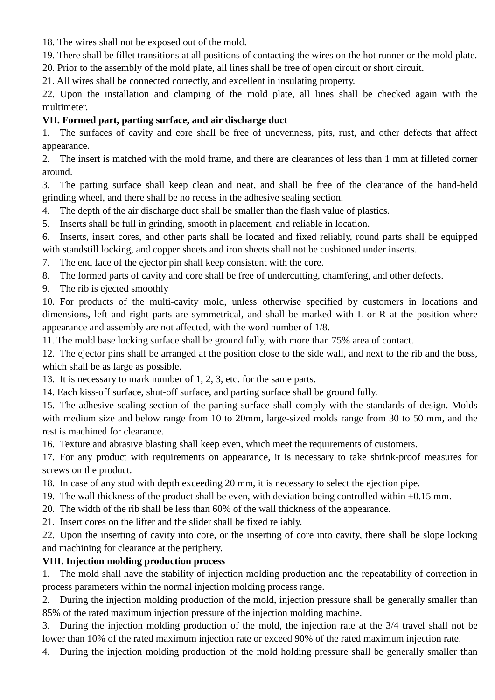18. The wires shall not be exposed out of the mold.

19. There shall be fillet transitions at all positions of contacting the wires on the hot runner or the mold plate. 20. Prior to the assembly of the mold plate, all lines shall be free of open circuit or short circuit.

21. All wires shall be connected correctly, and excellent in insulating property.

22. Upon the installation and clamping of the mold plate, all lines shall be checked again with the multimeter.

## **VII. Formed part, parting surface, and air discharge duct**

1. The surfaces of cavity and core shall be free of unevenness, pits, rust, and other defects that affect appearance.

2. The insert is matched with the mold frame, and there are clearances of less than 1 mm at filleted corner around.

3. The parting surface shall keep clean and neat, and shall be free of the clearance of the hand-held grinding wheel, and there shall be no recess in the adhesive sealing section.

- 4. The depth of the air discharge duct shall be smaller than the flash value of plastics.
- 5. Inserts shall be full in grinding, smooth in placement, and reliable in location.

6. Inserts, insert cores, and other parts shall be located and fixed reliably, round parts shall be equipped with standstill locking, and copper sheets and iron sheets shall not be cushioned under inserts.

- 7. The end face of the ejector pin shall keep consistent with the core.
- 8. The formed parts of cavity and core shall be free of undercutting, chamfering, and other defects.

9. The rib is ejected smoothly

10. For products of the multi-cavity mold, unless otherwise specified by customers in locations and dimensions, left and right parts are symmetrical, and shall be marked with L or R at the position where appearance and assembly are not affected, with the word number of 1/8.

11. The mold base locking surface shall be ground fully, with more than 75% area of contact.

12. The ejector pins shall be arranged at the position close to the side wall, and next to the rib and the boss, which shall be as large as possible.

13. It is necessary to mark number of 1, 2, 3, etc. for the same parts.

14. Each kiss-off surface, shut-off surface, and parting surface shall be ground fully.

15. The adhesive sealing section of the parting surface shall comply with the standards of design. Molds with medium size and below range from 10 to 20mm, large-sized molds range from 30 to 50 mm, and the rest is machined for clearance.

16. Texture and abrasive blasting shall keep even, which meet the requirements of customers.

17. For any product with requirements on appearance, it is necessary to take shrink-proof measures for screws on the product.

18. In case of any stud with depth exceeding 20 mm, it is necessary to select the ejection pipe.

19. The wall thickness of the product shall be even, with deviation being controlled within  $\pm 0.15$  mm.

20. The width of the rib shall be less than 60% of the wall thickness of the appearance.

21. Insert cores on the lifter and the slider shall be fixed reliably.

22. Upon the inserting of cavity into core, or the inserting of core into cavity, there shall be slope locking and machining for clearance at the periphery.

## **VIII. Injection molding production process**

1. The mold shall have the stability of injection molding production and the repeatability of correction in process parameters within the normal injection molding process range.

2. During the injection molding production of the mold, injection pressure shall be generally smaller than 85% of the rated maximum injection pressure of the injection molding machine.

3. During the injection molding production of the mold, the injection rate at the 3/4 travel shall not be lower than 10% of the rated maximum injection rate or exceed 90% of the rated maximum injection rate.

4. During the injection molding production of the mold holding pressure shall be generally smaller than